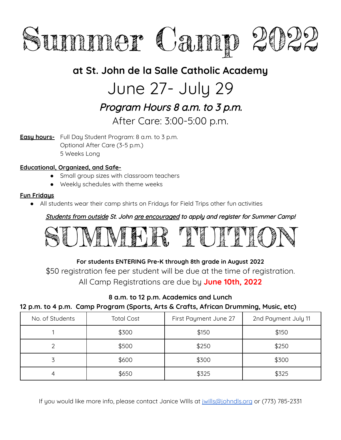

### **at St. John de la Salle Catholic Academy**

## June 27- July 29

## Program Hours 8 a.m. to 3 p.m.

#### After Care: 3:00-5:00 p.m.

**Easy hours-** Full Day Student Program: 8 a.m. to 3 p.m. Optional After Care (3-5 p.m.) 5 Weeks Long

#### **Educational, Organized, and Safe-**

- Small group sizes with classroom teachers
- Weekly schedules with theme weeks

#### **Fun Fridays**

All students wear their camp shirts on Fridays for Field Trips other fun activities

Students from outside St. John are encouraged to apply and register for Summer Camp!



#### **For students ENTERING Pre-K through 8th grade in August 2022**

\$50 registration fee per student will be due at the time of registration. All Camp Registrations are due by **June 10th, 2022**

#### **8 a.m. to 12 p.m. Academics and Lunch**

#### **12 p.m. to 4 p.m. Camp Program (Sports, Arts & Crafts, African Drumming, Music, etc)**

| No. of Students | <b>Total Cost</b> | First Payment June 27 | 2nd Payment July 11 |
|-----------------|-------------------|-----------------------|---------------------|
|                 | \$300             | \$150                 | \$150               |
|                 | \$500             | \$250                 | \$250               |
|                 | \$600             | \$300                 | \$300               |
|                 | \$650             | \$325                 | \$325               |

If you would like more info, please contact Janice WIlls at jwills@johndls.org or (773) 785-2331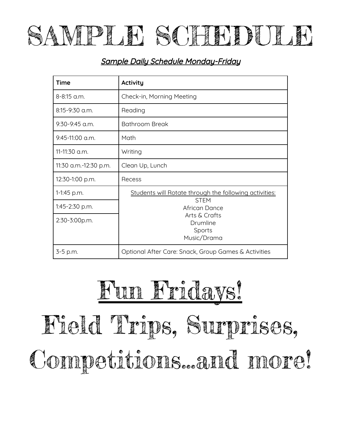

#### Sample Daily Schedule Monday-Friday

| <b>Time</b>           | <b>Activity</b>                                                                                                                              |  |
|-----------------------|----------------------------------------------------------------------------------------------------------------------------------------------|--|
| 8-8:15 a.m.           | Check-in, Morning Meeting                                                                                                                    |  |
| 8:15-9:30 a.m.        | Reading                                                                                                                                      |  |
| $9:30-9:45$ a.m.      | <b>Bathroom Break</b>                                                                                                                        |  |
| $9:45-11:00$ a.m.     | Math                                                                                                                                         |  |
| 11-11:30 a.m.         | Writing                                                                                                                                      |  |
| 11:30 a.m.-12:30 p.m. | Clean Up, Lunch                                                                                                                              |  |
| 12:30-1:00 p.m.       | Recess                                                                                                                                       |  |
| 1-1:45 p.m.           | Students will Rotate through the following activities:<br><b>STFM</b><br>African Dance<br>Arts & Crafts<br>Drumline<br>Sports<br>Music/Drama |  |
| 1:45-2:30 p.m.        |                                                                                                                                              |  |
| 2:30-3:00p.m.         |                                                                                                                                              |  |
| 3-5 p.m.              | Optional After Care: Snack, Group Games & Activities                                                                                         |  |

# Fun Fridays! Field Trips, Surprises, Competitions...and more!